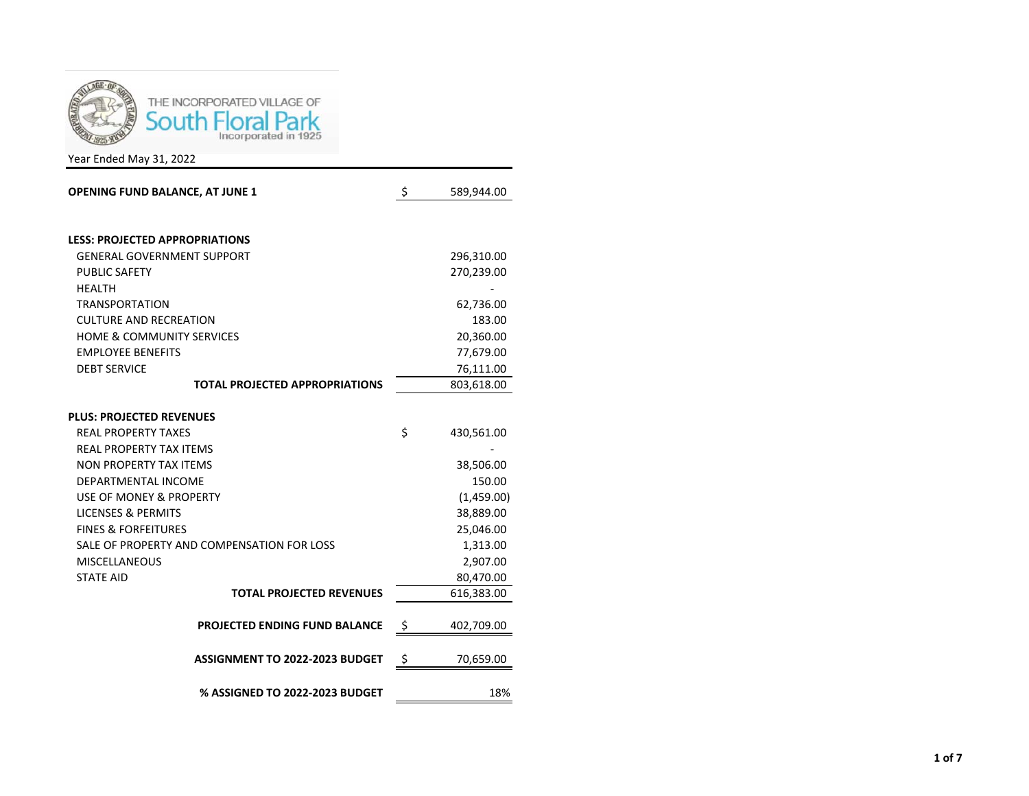

Year Ended May 31, 2022

| <b>OPENING FUND BALANCE, AT JUNE 1</b>     | \$       | 589,944.00 |
|--------------------------------------------|----------|------------|
| <b>LESS: PROJECTED APPROPRIATIONS</b>      |          |            |
| <b>GENERAL GOVERNMENT SUPPORT</b>          |          | 296,310.00 |
| <b>PUBLIC SAFETY</b>                       |          | 270,239.00 |
| <b>HEALTH</b>                              |          |            |
| <b>TRANSPORTATION</b>                      |          | 62,736.00  |
| <b>CULTURE AND RECREATION</b>              |          | 183.00     |
| <b>HOME &amp; COMMUNITY SERVICES</b>       |          | 20,360.00  |
| <b>EMPLOYEE BENEFITS</b>                   |          | 77,679.00  |
| <b>DEBT SERVICE</b>                        |          | 76,111.00  |
| <b>TOTAL PROJECTED APPROPRIATIONS</b>      |          | 803,618.00 |
|                                            |          |            |
| <b>PLUS: PROJECTED REVENUES</b>            |          |            |
| <b>REAL PROPERTY TAXES</b>                 | \$       | 430,561.00 |
| <b>REAL PROPERTY TAX ITEMS</b>             |          |            |
| <b>NON PROPERTY TAX ITEMS</b>              |          | 38,506.00  |
| DEPARTMENTAL INCOME                        |          | 150.00     |
| USE OF MONEY & PROPERTY                    |          | (1,459.00) |
| <b>LICENSES &amp; PERMITS</b>              |          | 38,889.00  |
| <b>FINES &amp; FORFEITURES</b>             |          | 25,046.00  |
| SALE OF PROPERTY AND COMPENSATION FOR LOSS |          | 1,313.00   |
| <b>MISCELLANEOUS</b>                       |          | 2,907.00   |
| <b>STATE AID</b>                           |          | 80,470.00  |
| <b>TOTAL PROJECTED REVENUES</b>            |          | 616,383.00 |
| <b>PROJECTED ENDING FUND BALANCE</b>       |          | 402,709.00 |
|                                            | <u>ې</u> |            |
| <b>ASSIGNMENT TO 2022-2023 BUDGET</b>      | \$       | 70,659.00  |
| % ASSIGNED TO 2022-2023 BUDGET             |          | 18%        |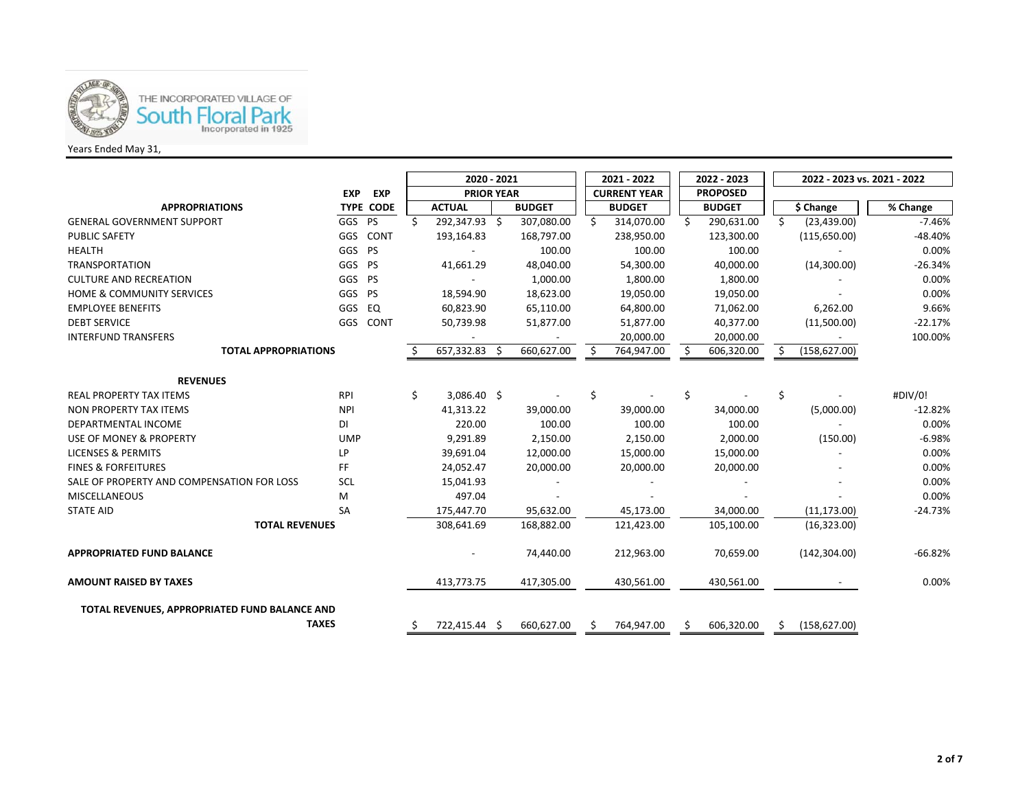

## Years Ended May 31,

|                                               |            |                  | 2020 - 2021       |                          |                     |               |                 | 2021 - 2022       |    | 2022 - 2023   |    | 2022 - 2023 vs. 2021 - 2022 |           |  |
|-----------------------------------------------|------------|------------------|-------------------|--------------------------|---------------------|---------------|-----------------|-------------------|----|---------------|----|-----------------------------|-----------|--|
|                                               | <b>EXP</b> | <b>EXP</b>       | <b>PRIOR YEAR</b> |                          | <b>CURRENT YEAR</b> |               | <b>PROPOSED</b> |                   |    |               |    |                             |           |  |
| <b>APPROPRIATIONS</b>                         |            | <b>TYPE CODE</b> |                   | <b>ACTUAL</b>            |                     | <b>BUDGET</b> |                 | <b>BUDGET</b>     |    | <b>BUDGET</b> |    | \$ Change                   | % Change  |  |
| <b>GENERAL GOVERNMENT SUPPORT</b>             | GGS PS     |                  | Ś.                | 292,347.93 \$            |                     | 307,080.00    |                 | 314,070.00<br>Ŝ.  | Ŝ. | 290,631.00    | Ŝ. | (23, 439.00)                | $-7.46%$  |  |
| <b>PUBLIC SAFETY</b>                          | GGS        | CONT             |                   | 193,164.83               |                     | 168,797.00    |                 | 238,950.00        |    | 123,300.00    |    | (115,650.00)                | $-48.40%$ |  |
| <b>HEALTH</b>                                 | GGS PS     |                  |                   |                          |                     | 100.00        |                 | 100.00            |    | 100.00        |    |                             | 0.00%     |  |
| <b>TRANSPORTATION</b>                         | GGS PS     |                  |                   | 41,661.29                |                     | 48,040.00     |                 | 54,300.00         |    | 40,000.00     |    | (14,300.00)                 | $-26.34%$ |  |
| <b>CULTURE AND RECREATION</b>                 | GGS        | <b>PS</b>        |                   | $\overline{\phantom{a}}$ |                     | 1,000.00      |                 | 1,800.00          |    | 1,800.00      |    |                             | 0.00%     |  |
| <b>HOME &amp; COMMUNITY SERVICES</b>          | GGS        | <b>PS</b>        |                   | 18,594.90                |                     | 18,623.00     |                 | 19,050.00         |    | 19,050.00     |    |                             | 0.00%     |  |
| <b>EMPLOYEE BENEFITS</b>                      | GGS        | EQ               |                   | 60,823.90                |                     | 65,110.00     |                 | 64,800.00         |    | 71,062.00     |    | 6,262.00                    | 9.66%     |  |
| <b>DEBT SERVICE</b>                           | GGS        | CONT             |                   | 50,739.98                |                     | 51,877.00     |                 | 51,877.00         |    | 40,377.00     |    | (11,500.00)                 | $-22.17%$ |  |
| <b>INTERFUND TRANSFERS</b>                    |            |                  |                   |                          |                     |               |                 | 20,000.00         |    | 20,000.00     |    |                             | 100.00%   |  |
| <b>TOTAL APPROPRIATIONS</b>                   |            |                  |                   | 657,332.83 \$            |                     | 660,627.00    |                 | 764,947.00<br>\$. |    | 606,320.00    |    | (158, 627.00)               |           |  |
|                                               |            |                  |                   |                          |                     |               |                 |                   |    |               |    |                             |           |  |
| <b>REVENUES</b>                               |            |                  |                   |                          |                     |               |                 |                   |    |               |    |                             |           |  |
| <b>REAL PROPERTY TAX ITEMS</b>                | RPI        |                  | \$                | 3,086.40 \$              |                     |               |                 | \$                | \$ |               | \$ |                             | #DIV/0!   |  |
| NON PROPERTY TAX ITEMS                        | <b>NPI</b> |                  |                   | 41,313.22                |                     | 39,000.00     |                 | 39,000.00         |    | 34,000.00     |    | (5,000.00)                  | $-12.82%$ |  |
| <b>DEPARTMENTAL INCOME</b>                    | DI         |                  |                   | 220.00                   |                     | 100.00        |                 | 100.00            |    | 100.00        |    |                             | 0.00%     |  |
| USE OF MONEY & PROPERTY                       | <b>UMP</b> |                  |                   | 9,291.89                 |                     | 2,150.00      |                 | 2,150.00          |    | 2,000.00      |    | (150.00)                    | $-6.98%$  |  |
| <b>LICENSES &amp; PERMITS</b>                 | <b>LP</b>  |                  |                   | 39,691.04                |                     | 12,000.00     |                 | 15,000.00         |    | 15,000.00     |    |                             | 0.00%     |  |
| <b>FINES &amp; FORFEITURES</b>                | FF         |                  |                   | 24,052.47                |                     | 20,000.00     |                 | 20,000.00         |    | 20,000.00     |    |                             | 0.00%     |  |
| SALE OF PROPERTY AND COMPENSATION FOR LOSS    | SCL        |                  |                   | 15,041.93                |                     |               |                 |                   |    |               |    |                             | 0.00%     |  |
| <b>MISCELLANEOUS</b>                          | M          |                  |                   | 497.04                   |                     |               |                 |                   |    |               |    |                             | 0.00%     |  |
| <b>STATE AID</b>                              | SA         |                  |                   | 175,447.70               |                     | 95,632.00     |                 | 45,173.00         |    | 34,000.00     |    | (11, 173.00)                | $-24.73%$ |  |
| <b>TOTAL REVENUES</b>                         |            |                  |                   | 308,641.69               |                     | 168,882.00    |                 | 121,423.00        |    | 105,100.00    |    | (16, 323.00)                |           |  |
| <b>APPROPRIATED FUND BALANCE</b>              |            |                  |                   |                          |                     | 74,440.00     |                 | 212,963.00        |    | 70,659.00     |    | (142, 304.00)               | $-66.82%$ |  |
| <b>AMOUNT RAISED BY TAXES</b>                 |            |                  |                   | 413,773.75               |                     | 417,305.00    |                 | 430,561.00        |    | 430,561.00    |    |                             | 0.00%     |  |
| TOTAL REVENUES, APPROPRIATED FUND BALANCE AND |            |                  |                   |                          |                     |               |                 |                   |    |               |    |                             |           |  |
| <b>TAXES</b>                                  |            |                  |                   | 722,415.44 \$            |                     | 660,627.00    |                 | 764,947.00        |    | 606,320.00    |    | (158, 627.00)               |           |  |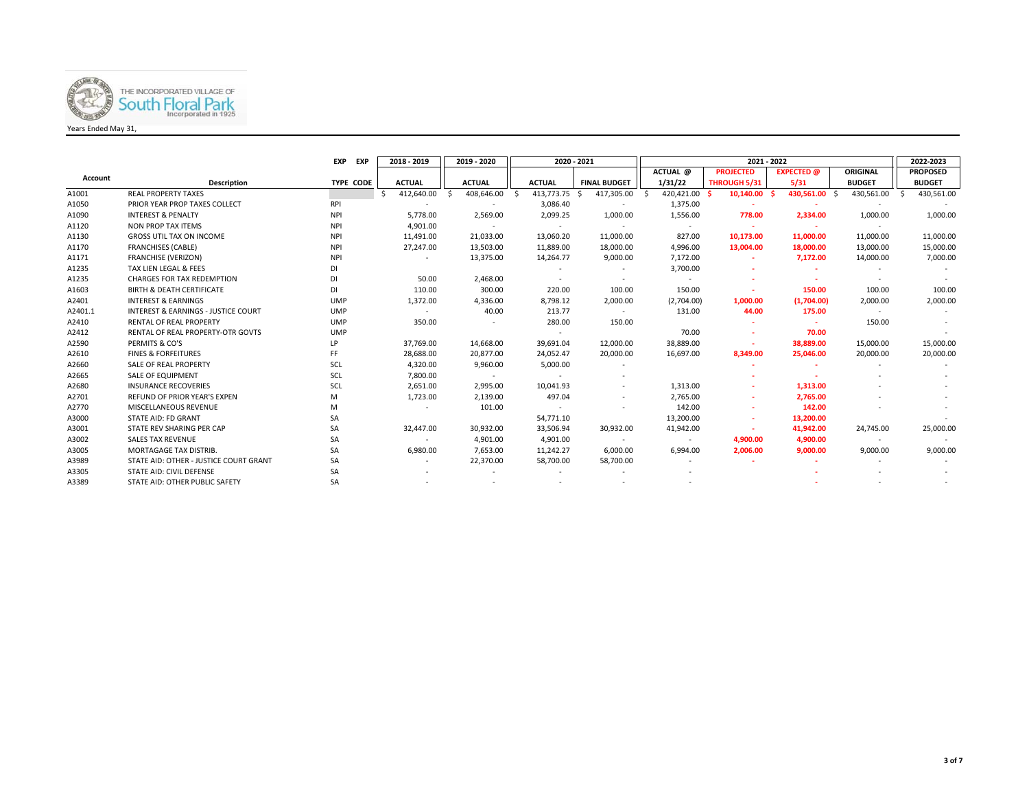

|                |                                                | EXP<br>EXP | 2018 - 2019              | 2019 - 2020      |                          | 2020 - 2021<br>2021 - 2022 |                    |                  |                   |               |                  |  |  |
|----------------|------------------------------------------------|------------|--------------------------|------------------|--------------------------|----------------------------|--------------------|------------------|-------------------|---------------|------------------|--|--|
|                |                                                |            |                          |                  |                          |                            | ACTUAL @           | <b>PROJECTED</b> | <b>EXPECTED</b> @ | ORIGINAL      | <b>PROPOSED</b>  |  |  |
| <b>Account</b> | <b>Description</b>                             | TYPE CODE  | <b>ACTUAL</b>            | <b>ACTUAL</b>    | <b>ACTUAL</b>            | <b>FINAL BUDGET</b>        | 1/31/22            | THROUGH 5/31     | 5/31              | <b>BUDGET</b> | <b>BUDGET</b>    |  |  |
| A1001          | <b>REAL PROPERTY TAXES</b>                     |            | 412,640.00               | 408,646.00<br>-Ŝ | 413,773.75               | 417,305.00                 | 420,421.00<br>- \$ | 10,140.00        | 430,561.00 \$     | 430,561.00    | 430,561.00<br>Ŝ. |  |  |
| A1050          | PRIOR YEAR PROP TAXES COLLECT                  | <b>RPI</b> |                          |                  | 3,086.40                 |                            | 1,375.00           |                  |                   |               |                  |  |  |
| A1090          | <b>INTEREST &amp; PENALTY</b>                  | <b>NPI</b> | 5,778.00                 | 2,569.00         | 2,099.25                 | 1,000.00                   | 1,556.00           | 778.00           | 2,334.00          | 1,000.00      | 1,000.00         |  |  |
| A1120          | <b>NON PROP TAX ITEMS</b>                      | <b>NPI</b> | 4,901.00                 |                  | $\overline{\phantom{a}}$ |                            |                    |                  |                   |               |                  |  |  |
| A1130          | <b>GROSS UTIL TAX ON INCOME</b>                | <b>NPI</b> | 11,491.00                | 21,033.00        | 13,060.20                | 11,000.00                  | 827.00             | 10,173.00        | 11,000.00         | 11,000.00     | 11,000.00        |  |  |
| A1170          | <b>FRANCHISES (CABLE)</b>                      | <b>NPI</b> | 27,247.00                | 13,503.00        | 11,889.00                | 18,000.00                  | 4,996.00           | 13,004.00        | 18,000.00         | 13,000.00     | 15,000.00        |  |  |
| A1171          | <b>FRANCHISE (VERIZON)</b>                     | <b>NPI</b> |                          | 13,375.00        | 14,264.77                | 9,000.00                   | 7,172.00           |                  | 7,172.00          | 14,000.00     | 7,000.00         |  |  |
| A1235          | TAX LIEN LEGAL & FEES                          | DI         |                          |                  |                          |                            | 3,700.00           |                  |                   |               |                  |  |  |
| A1235          | <b>CHARGES FOR TAX REDEMPTION</b>              | DI         | 50.00                    | 2,468.00         |                          |                            |                    |                  |                   |               |                  |  |  |
| A1603          | <b>BIRTH &amp; DEATH CERTIFICATE</b>           | <b>DI</b>  | 110.00                   | 300.00           | 220.00                   | 100.00                     | 150.00             |                  | 150.00            | 100.00        | 100.00           |  |  |
| A2401          | <b>INTEREST &amp; EARNINGS</b>                 | <b>UMP</b> | 1,372.00                 | 4,336.00         | 8,798.12                 | 2,000.00                   | (2,704.00)         | 1,000.00         | (1,704.00)        | 2,000.00      | 2,000.00         |  |  |
| A2401.1        | <b>INTEREST &amp; EARNINGS - JUSTICE COURT</b> | <b>UMP</b> |                          | 40.00            | 213.77                   |                            | 131.00             | 44.00            | 175.00            |               |                  |  |  |
| A2410          | <b>RENTAL OF REAL PROPERTY</b>                 | <b>UMP</b> | 350.00                   |                  | 280.00                   | 150.00                     |                    |                  |                   | 150.00        |                  |  |  |
| A2412          | RENTAL OF REAL PROPERTY-OTR GOVTS              | <b>UMP</b> |                          |                  | $\sim$                   |                            | 70.00              |                  | 70.00             |               |                  |  |  |
| A2590          | PERMITS & CO'S                                 | LP         | 37,769.00                | 14,668.00        | 39,691.04                | 12,000.00                  | 38,889.00          |                  | 38,889.00         | 15,000.00     | 15,000.00        |  |  |
| A2610          | <b>FINES &amp; FORFEITURES</b>                 | FF         | 28,688.00                | 20,877.00        | 24,052.47                | 20,000.00                  | 16.697.00          | 8,349.00         | 25,046.00         | 20,000.00     | 20,000.00        |  |  |
| A2660          | SALE OF REAL PROPERTY                          | SCL        | 4,320.00                 | 9,960.00         | 5,000.00                 |                            |                    |                  |                   |               |                  |  |  |
| A2665          | <b>SALE OF EQUIPMENT</b>                       | SCL        | 7,800.00                 | $\sim$           |                          |                            |                    |                  |                   |               |                  |  |  |
| A2680          | <b>INSURANCE RECOVERIES</b>                    | SCL        | 2,651.00                 | 2,995.00         | 10,041.93                | $\sim$                     | 1,313.00           |                  | 1,313.00          |               |                  |  |  |
| A2701          | <b>REFUND OF PRIOR YEAR'S EXPEN</b>            | M          | 1,723.00                 | 2,139.00         | 497.04                   |                            | 2,765.00           |                  | 2,765.00          |               |                  |  |  |
| A2770          | <b>MISCELLANEOUS REVENUE</b>                   | M          | $\overline{\phantom{a}}$ | 101.00           |                          |                            | 142.00             |                  | 142.00            |               |                  |  |  |
| A3000          | <b>STATE AID: FD GRANT</b>                     | SA         |                          |                  | 54,771.10                |                            | 13,200.00          |                  | 13,200.00         |               |                  |  |  |
| A3001          | STATE REV SHARING PER CAP                      | SA         | 32,447.00                | 30,932.00        | 33,506.94                | 30,932.00                  | 41,942.00          |                  | 41,942.00         | 24,745.00     | 25,000.00        |  |  |
| A3002          | <b>SALES TAX REVENUE</b>                       | <b>SA</b>  | $\sim$                   | 4,901.00         | 4,901.00                 | $\sim$                     | $\sim$             | 4,900.00         | 4,900.00          | $\sim$        |                  |  |  |
| A3005          | MORTAGAGE TAX DISTRIB.                         | SA         | 6,980.00                 | 7,653.00         | 11,242.27                | 6,000.00                   | 6,994.00           | 2,006.00         | 9,000.00          | 9,000.00      | 9,000.00         |  |  |
| A3989          | STATE AID: OTHER - JUSTICE COURT GRANT         | SA         |                          | 22,370.00        | 58,700.00                | 58,700.00                  |                    |                  |                   |               |                  |  |  |
| A3305          | STATE AID: CIVIL DEFENSE                       | SA         |                          |                  |                          |                            |                    |                  |                   |               |                  |  |  |
| A3389          | STATE AID: OTHER PUBLIC SAFETY                 | <b>SA</b>  |                          |                  |                          |                            |                    |                  |                   |               |                  |  |  |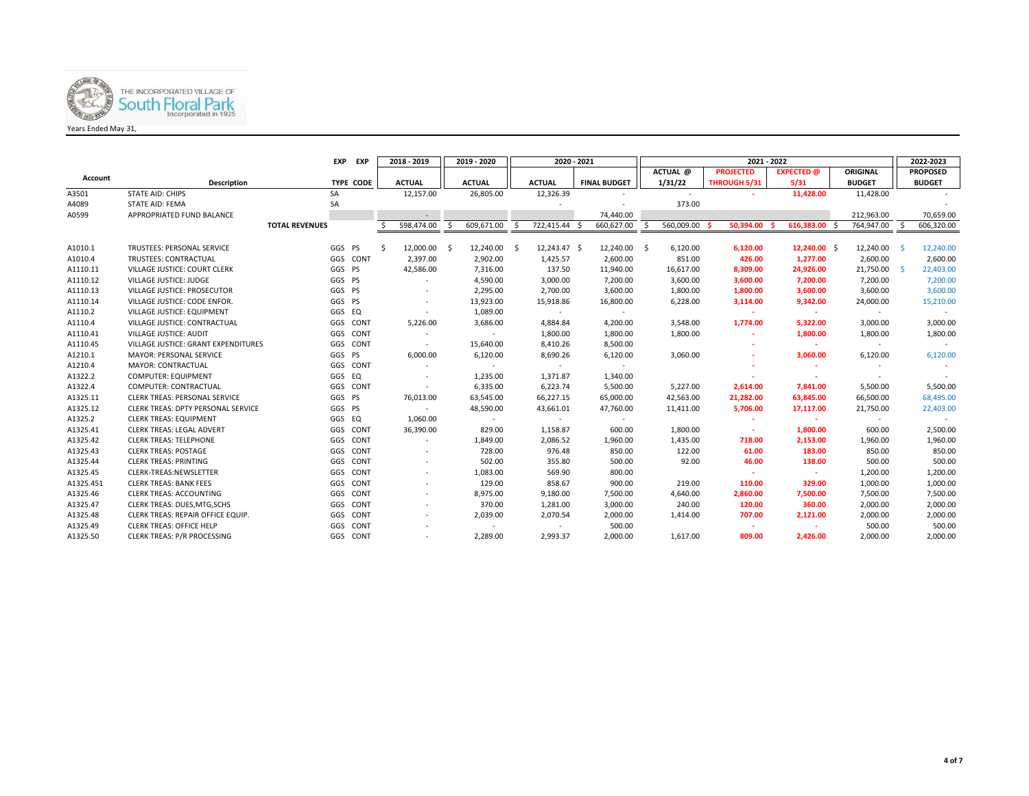

|           |                                      | EXP                   | EXP       |    | 2018 - 2019              |     | 2019 - 2020   | 2020 - 2021 |               |  |                     |      | 2021 - 2022 |  |                  |  |                   |  |               |    | 2022-2023       |
|-----------|--------------------------------------|-----------------------|-----------|----|--------------------------|-----|---------------|-------------|---------------|--|---------------------|------|-------------|--|------------------|--|-------------------|--|---------------|----|-----------------|
|           |                                      |                       |           |    |                          |     |               |             |               |  |                     |      | ACTUAL @    |  | <b>PROJECTED</b> |  | <b>EXPECTED</b> @ |  | ORIGINAL      |    | <b>PROPOSED</b> |
| Account   | Description                          |                       | TYPE CODE |    | <b>ACTUAL</b>            |     | <b>ACTUAL</b> |             | <b>ACTUAL</b> |  | <b>FINAL BUDGET</b> |      | 1/31/22     |  | THROUGH 5/31     |  | 5/31              |  | <b>BUDGET</b> |    | <b>BUDGET</b>   |
| A3501     | <b>STATE AID: CHIPS</b>              | SA                    |           |    | 12,157.00                |     | 26,805.00     |             | 12,326.39     |  |                     |      | $\sim$      |  |                  |  | 11,428.00         |  | 11,428.00     |    |                 |
| A4089     | <b>STATE AID: FEMA</b>               | SA                    |           |    |                          |     |               |             |               |  |                     |      | 373.00      |  |                  |  |                   |  |               |    |                 |
| A0599     | APPROPRIATED FUND BALANCE            |                       |           |    |                          |     |               |             |               |  | 74,440.00           |      |             |  |                  |  |                   |  | 212,963.00    |    | 70,659.00       |
|           |                                      | <b>TOTAL REVENUES</b> |           |    | 598,474.00               | S.  | 609,671.00    | Ŝ.          | 722,415.44 \$ |  | 660,627.00          | Ŝ.   | 560,009.00  |  | 50.394.00        |  | 616,383.00        |  | 764,947.00    | Ŝ. | 606,320.00      |
|           |                                      |                       |           |    |                          |     |               |             |               |  |                     |      |             |  |                  |  |                   |  |               |    |                 |
| A1010.1   | TRUSTEES: PERSONAL SERVICE           | GGS PS                |           | Š. | 12,000.00                | - Ś | 12,240.00     | - \$        | 12,243.47 \$  |  | 12,240.00           | - \$ | 6,120.00    |  | 6,120.00         |  | $12,240.00$ \$    |  | 12,240.00     |    | 12,240.00       |
| A1010.4   | TRUSTEES: CONTRACTUAL                |                       | GGS CONT  |    | 2,397.00                 |     | 2,902.00      |             | 1,425.57      |  | 2,600.00            |      | 851.00      |  | 426.00           |  | 1,277.00          |  | 2,600.00      |    | 2,600.00        |
| A1110.11  | VILLAGE JUSTICE: COURT CLERK         | GGS PS                |           |    | 42,586.00                |     | 7,316.00      |             | 137.50        |  | 11,940.00           |      | 16,617.00   |  | 8,309.00         |  | 24,926.00         |  | 21,750.00     |    | 22,403.00       |
| A1110.12  | VILLAGE JUSTICE: JUDGE               | GGS PS                |           |    | $\sim$                   |     | 4,590.00      |             | 3,000.00      |  | 7,200.00            |      | 3,600.00    |  | 3,600.00         |  | 7,200.00          |  | 7,200.00      |    | 7,200.00        |
| A1110.13  | VILLAGE JUSTICE: PROSECUTOR          | GGS PS                |           |    |                          |     | 2,295.00      |             | 2,700.00      |  | 3,600.00            |      | 1,800.00    |  | 1,800.00         |  | 3,600.00          |  | 3,600.00      |    | 3,600.00        |
| A1110.14  | VILLAGE JUSTICE: CODE ENFOR.         | GGS PS                |           |    |                          |     | 13,923.00     |             | 15,918.86     |  | 16,800.00           |      | 6,228.00    |  | 3,114.00         |  | 9,342.00          |  | 24,000.00     |    | 15,210.00       |
| A1110.2   | VILLAGE JUSTICE: EQUIPMENT           | GGS EQ                |           |    | $\overline{\phantom{a}}$ |     | 1,089.00      |             | $\sim$        |  | $\sim$              |      |             |  | ×.               |  | $\sim$            |  | $\sim$        |    |                 |
| A1110.4   | VILLAGE JUSTICE: CONTRACTUAL         |                       | GGS CONT  |    | 5,226.00                 |     | 3,686.00      |             | 4,884.84      |  | 4,200.00            |      | 3,548.00    |  | 1,774.00         |  | 5,322.00          |  | 3,000.00      |    | 3,000.00        |
| A1110.41  | VILLAGE JUSTICE: AUDIT               | GGS                   | CONT      |    |                          |     | $\sim$        |             | 1,800.00      |  | 1,800.00            |      | 1,800.00    |  | ٠                |  | 1,800.00          |  | 1,800.00      |    | 1,800.00        |
| A1110.45  | VILLAGE JUSTICE: GRANT EXPENDITURES  | GGS                   | CONT      |    | $\sim$                   |     | 15,640.00     |             | 8,410.26      |  | 8,500.00            |      |             |  | ٠                |  | $\sim$            |  | $\sim$        |    |                 |
| A1210.1   | <b>MAYOR: PERSONAL SERVICE</b>       | GGS PS                |           |    | 6,000.00                 |     | 6,120.00      |             | 8,690.26      |  | 6,120.00            |      | 3,060.00    |  |                  |  | 3,060.00          |  | 6,120.00      |    | 6,120.00        |
| A1210.4   | MAYOR: CONTRACTUAL                   |                       | GGS CONT  |    | $\sim$                   |     | $\sim$        |             | $\sim$        |  | $\sim$              |      |             |  |                  |  | $\sim$            |  |               |    |                 |
| A1322.2   | COMPUTER: EQUIPMENT                  | GGS EQ                |           |    | $\overline{\phantom{a}}$ |     | 1,235.00      |             | 1,371.87      |  | 1,340.00            |      |             |  |                  |  | ж.                |  |               |    |                 |
| A1322.4   | COMPUTER: CONTRACTUAL                |                       | GGS CONT  |    | $\sim$                   |     | 6,335.00      |             | 6,223.74      |  | 5,500.00            |      | 5,227.00    |  | 2,614.00         |  | 7,841.00          |  | 5,500.00      |    | 5,500.00        |
| A1325.11  | <b>CLERK TREAS: PERSONAL SERVICE</b> | GGS PS                |           |    | 76,013.00                |     | 63,545.00     |             | 66,227.15     |  | 65,000.00           |      | 42,563.00   |  | 21,282.00        |  | 63,845.00         |  | 66,500.00     |    | 68,495.00       |
| A1325.12  | CLERK TREAS: DPTY PERSONAL SERVICE   | GGS PS                |           |    |                          |     | 48,590.00     |             | 43,661.01     |  | 47,760.00           |      | 11,411.00   |  | 5,706.00         |  | 17,117.00         |  | 21,750.00     |    | 22,403.00       |
| A1325.2   | <b>CLERK TREAS: EQUIPMENT</b>        | GGS EQ                |           |    | 1,060.00                 |     |               |             |               |  |                     |      |             |  |                  |  |                   |  |               |    |                 |
| A1325.41  | CLERK TREAS: LEGAL ADVERT            |                       | GGS CONT  |    | 36,390.00                |     | 829.00        |             | 1,158.87      |  | 600.00              |      | 1,800.00    |  | $\sim$           |  | 1,800.00          |  | 600.00        |    | 2,500.00        |
| A1325.42  | <b>CLERK TREAS: TELEPHONE</b>        |                       | GGS CONT  |    |                          |     | 1,849.00      |             | 2,086.52      |  | 1,960.00            |      | 1,435.00    |  | 718.00           |  | 2,153.00          |  | 1,960.00      |    | 1,960.00        |
| A1325.43  | <b>CLERK TREAS: POSTAGE</b>          |                       | GGS CONT  |    | $\overline{\phantom{a}}$ |     | 728.00        |             | 976.48        |  | 850.00              |      | 122.00      |  | 61.00            |  | 183.00            |  | 850.00        |    | 850.00          |
| A1325.44  | <b>CLERK TREAS: PRINTING</b>         |                       | GGS CONT  |    | $\sim$                   |     | 502.00        |             | 355.80        |  | 500.00              |      | 92.00       |  | 46.00            |  | 138.00            |  | 500.00        |    | 500.00          |
| A1325.45  | CLERK-TREAS:NEWSLETTER               |                       | GGS CONT  |    | $\sim$                   |     | 1,083.00      |             | 569.90        |  | 800.00              |      |             |  | $\sim$           |  | <b>Section</b>    |  | 1,200.00      |    | 1,200.00        |
| A1325.451 | <b>CLERK TREAS: BANK FEES</b>        |                       | GGS CONT  |    |                          |     | 129.00        |             | 858.67        |  | 900.00              |      | 219.00      |  | 110.00           |  | 329.00            |  | 1,000.00      |    | 1,000.00        |
| A1325.46  | <b>CLERK TREAS: ACCOUNTING</b>       | GGS                   | CONT      |    | $\overline{\phantom{a}}$ |     | 8,975.00      |             | 9,180.00      |  | 7,500.00            |      | 4,640.00    |  | 2,860.00         |  | 7,500.00          |  | 7,500.00      |    | 7,500.00        |
| A1325.47  | CLERK TREAS: DUES, MTG, SCHS         | GGS                   | CONT      |    | $\sim$                   |     | 370.00        |             | 1,281.00      |  | 3,000.00            |      | 240.00      |  | 120.00           |  | 360.00            |  | 2,000.00      |    | 2,000.00        |
| A1325.48  | CLERK TREAS: REPAIR OFFICE EQUIP.    | GGS                   | CONT      |    |                          |     | 2,039.00      |             | 2,070.54      |  | 2,000.00            |      | 1,414.00    |  | 707.00           |  | 2,121.00          |  | 2,000.00      |    | 2,000.00        |
| A1325.49  | CLERK TREAS: OFFICE HELP             | GGS                   | CONT      |    |                          |     | $\sim$        |             | $\sim$        |  | 500.00              |      |             |  | $\sim$           |  | $\sim$            |  | 500.00        |    | 500.00          |
| A1325.50  | <b>CLERK TREAS: P/R PROCESSING</b>   |                       | GGS CONT  |    | $\sim$                   |     | 2,289.00      |             | 2,993.37      |  | 2,000.00            |      | 1,617.00    |  | 809.00           |  | 2,426.00          |  | 2,000.00      |    | 2,000.00        |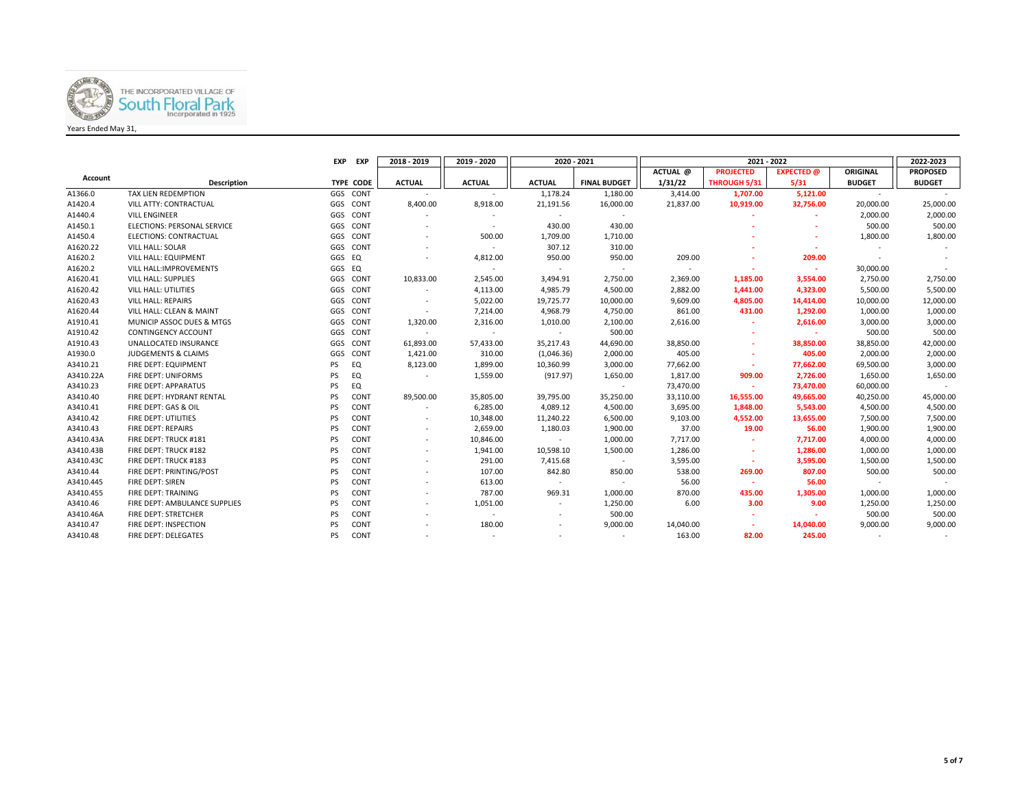

|           |                                    | <b>EXP</b> | <b>EXP</b> | 2018 - 2019              | 2019 - 2020              |               | 2020 - 2021         |           | 2021 - 2022      |                   |               | 2022-2023       |
|-----------|------------------------------------|------------|------------|--------------------------|--------------------------|---------------|---------------------|-----------|------------------|-------------------|---------------|-----------------|
|           |                                    |            |            |                          |                          |               |                     | ACTUAL @  | <b>PROJECTED</b> | <b>EXPECTED</b> @ | ORIGINAL      | <b>PROPOSED</b> |
| Account   | <b>Description</b>                 |            | TYPE CODE  | <b>ACTUAL</b>            | <b>ACTUAL</b>            | <b>ACTUAL</b> | <b>FINAL BUDGET</b> | 1/31/22   | THROUGH 5/31     | 5/31              | <b>BUDGET</b> | <b>BUDGET</b>   |
| A1366.0   | TAX LIEN REDEMPTION                |            | GGS CONT   |                          |                          | 1,178.24      | 1,180.00            | 3,414.00  | 1,707.00         | 5,121.00          | $\sim$        |                 |
| A1420.4   | VILL ATTY: CONTRACTUAL             |            | GGS CONT   | 8,400.00                 | 8,918.00                 | 21,191.56     | 16,000.00           | 21,837.00 | 10,919.00        | 32,756.00         | 20,000.00     | 25,000.00       |
| A1440.4   | <b>VILL ENGINEER</b>               |            | GGS CONT   |                          | $\overline{\phantom{a}}$ | $\sim$        | $\sim$              |           |                  |                   | 2,000.00      | 2,000.00        |
| A1450.1   | <b>ELECTIONS: PERSONAL SERVICE</b> |            | GGS CONT   |                          | $\overline{\phantom{a}}$ | 430.00        | 430.00              |           |                  |                   | 500.00        | 500.00          |
| A1450.4   | ELECTIONS: CONTRACTUAL             |            | GGS CONT   |                          | 500.00                   | 1,709.00      | 1,710.00            |           |                  |                   | 1,800.00      | 1,800.00        |
| A1620.22  | VILL HALL: SOLAR                   |            | GGS CONT   |                          |                          | 307.12        | 310.00              |           |                  |                   |               |                 |
| A1620.2   | VILL HALL: EQUIPMENT               | GGS EQ     |            |                          | 4,812.00                 | 950.00        | 950.00              | 209.00    |                  | 209.00            |               |                 |
| A1620.2   | VILL HALL: IMPROVEMENTS            | GGS EQ     |            |                          |                          | $\sim$        | $\sim$              |           |                  | ÷                 | 30,000.00     |                 |
| A1620.41  | <b>VILL HALL: SUPPLIES</b>         |            | GGS CONT   | 10,833.00                | 2,545.00                 | 3,494.91      | 2,750.00            | 2,369.00  | 1,185.00         | 3,554.00          | 2,750.00      | 2,750.00        |
| A1620.42  | <b>VILL HALL: UTILITIES</b>        |            | GGS CONT   | $\sim$                   | 4,113.00                 | 4,985.79      | 4,500.00            | 2,882.00  | 1,441.00         | 4,323.00          | 5,500.00      | 5,500.00        |
| A1620.43  | <b>VILL HALL: REPAIRS</b>          |            | GGS CONT   |                          | 5,022.00                 | 19,725.77     | 10,000.00           | 9,609.00  | 4,805.00         | 14,414.00         | 10,000.00     | 12,000.00       |
| A1620.44  | VILL HALL: CLEAN & MAINT           |            | GGS CONT   | $\overline{\phantom{a}}$ | 7,214.00                 | 4,968.79      | 4,750.00            | 861.00    | 431.00           | 1,292.00          | 1,000.00      | 1,000.00        |
| A1910.41  | MUNICIP ASSOC DUES & MTGS          |            | GGS CONT   | 1,320.00                 | 2,316.00                 | 1,010.00      | 2,100.00            | 2,616.00  | $\sim$           | 2,616.00          | 3,000.00      | 3,000.00        |
| A1910.42  | <b>CONTINGENCY ACCOUNT</b>         | GGS        | CONT       |                          | $\sim$                   | $\sim$        | 500.00              |           |                  | $\sim$            | 500.00        | 500.00          |
| A1910.43  | UNALLOCATED INSURANCE              | GGS        | CONT       | 61,893.00                | 57,433.00                | 35,217.43     | 44,690.00           | 38,850.00 | ٠                | 38,850.00         | 38,850.00     | 42,000.00       |
| A1930.0   | JUDGEMENTS & CLAIMS                | GGS        | CONT       | 1,421.00                 | 310.00                   | (1,046.36)    | 2,000.00            | 405.00    | ٠                | 405.00            | 2,000.00      | 2,000.00        |
| A3410.21  | FIRE DEPT: EQUIPMENT               | PS         | EQ         | 8,123.00                 | 1,899.00                 | 10,360.99     | 3,000.00            | 77,662.00 | $\sim$           | 77,662.00         | 69,500.00     | 3,000.00        |
| A3410.22A | FIRE DEPT: UNIFORMS                | PS         | EQ         |                          | 1,559.00                 | (917.97)      | 1,650.00            | 1,817.00  | 909.00           | 2,726.00          | 1,650.00      | 1,650.00        |
| A3410.23  | FIRE DEPT: APPARATUS               | PS         | EQ         |                          |                          |               | $\sim$              | 73,470.00 | $\sim$           | 73,470.00         | 60,000.00     |                 |
| A3410.40  | FIRE DEPT: HYDRANT RENTAL          | PS         | CONT       | 89,500.00                | 35,805.00                | 39,795.00     | 35,250.00           | 33,110.00 | 16,555.00        | 49,665.00         | 40,250.00     | 45,000.00       |
| A3410.41  | FIRE DEPT: GAS & OIL               | PS         | CONT       |                          | 6,285.00                 | 4,089.12      | 4,500.00            | 3,695.00  | 1,848.00         | 5,543.00          | 4,500.00      | 4,500.00        |
| A3410.42  | FIRE DEPT: UTILITIES               | PS         | CONT       | $\overline{\phantom{a}}$ | 10,348.00                | 11,240.22     | 6,500.00            | 9,103.00  | 4,552.00         | 13,655.00         | 7,500.00      | 7,500.00        |
| A3410.43  | FIRE DEPT: REPAIRS                 | PS         | CONT       |                          | 2,659.00                 | 1,180.03      | 1,900.00            | 37.00     | 19.00            | 56.00             | 1,900.00      | 1,900.00        |
| A3410.43A | FIRE DEPT: TRUCK #181              | PS         | CONT       | $\sim$                   | 10,846.00                | $\sim$        | 1,000.00            | 7,717.00  | $\sim$           | 7,717.00          | 4,000.00      | 4,000.00        |
| A3410.43B | FIRE DEPT: TRUCK #182              | PS         | CONT       | $\sim$                   | 1,941.00                 | 10,598.10     | 1,500.00            | 1,286.00  | ÷                | 1,286.00          | 1,000.00      | 1,000.00        |
| A3410.43C | FIRE DEPT: TRUCK #183              | PS         | CONT       |                          | 291.00                   | 7,415.68      | $\sim$              | 3,595.00  | $\sim$           | 3,595.00          | 1,500.00      | 1,500.00        |
| A3410.44  | FIRE DEPT: PRINTING/POST           | PS         | CONT       | $\overline{\phantom{a}}$ | 107.00                   | 842.80        | 850.00              | 538.00    | 269.00           | 807.00            | 500.00        | 500.00          |
| A3410.445 | FIRE DEPT: SIREN                   | PS         | CONT       |                          | 613.00                   | $\sim$        | $\sim$              | 56.00     | $\sim$           | 56.00             | $\sim$        |                 |
| A3410.455 | FIRE DEPT: TRAINING                | PS         | CONT       |                          | 787.00                   | 969.31        | 1,000.00            | 870.00    | 435.00           | 1,305.00          | 1,000.00      | 1,000.00        |
| A3410.46  | FIRE DEPT: AMBULANCE SUPPLIES      | PS         | CONT       | $\overline{\phantom{a}}$ | 1,051.00                 | $\sim$        | 1,250.00            | 6.00      | 3.00             | 9.00              | 1,250.00      | 1,250.00        |
| A3410.46A | FIRE DEPT: STRETCHER               | PS         | CONT       |                          | $\overline{\phantom{a}}$ | ٠             | 500.00              |           | ٠                | $\sim$            | 500.00        | 500.00          |
| A3410.47  | FIRE DEPT: INSPECTION              | PS         | CONT       |                          | 180.00                   |               | 9,000.00            | 14,040.00 |                  | 14,040.00         | 9,000.00      | 9,000.00        |
| A3410.48  | FIRE DEPT: DELEGATES               | <b>PS</b>  | CONT       |                          |                          |               |                     | 163.00    | 82.00            | 245.00            |               |                 |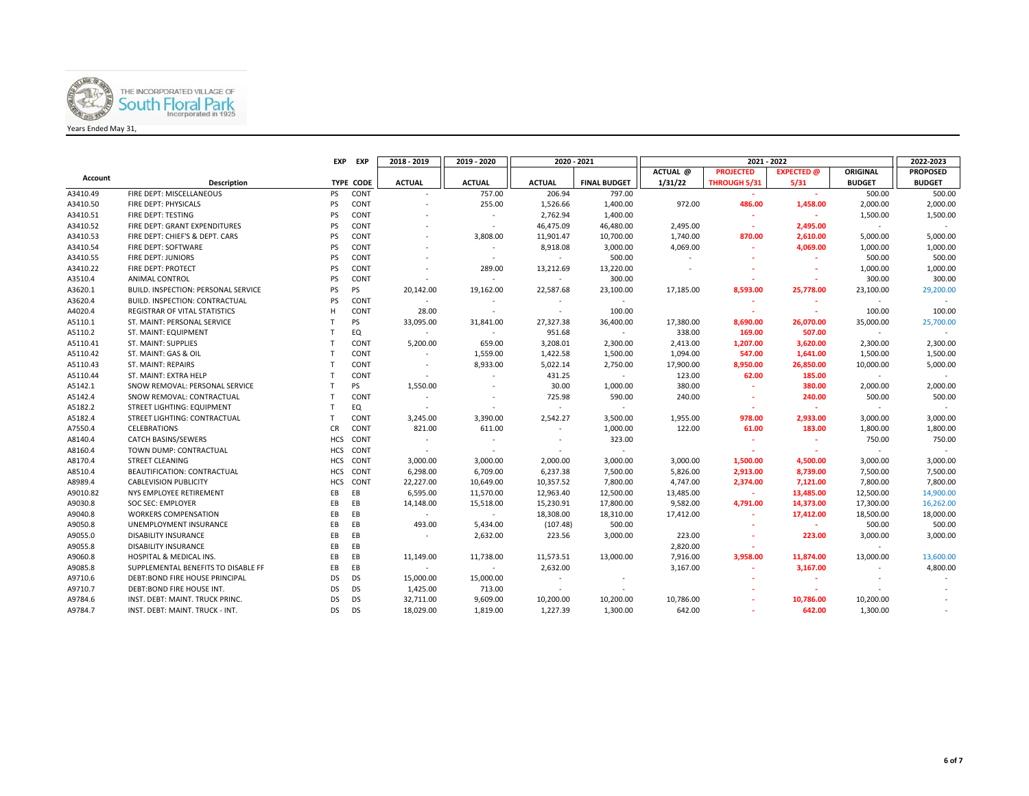

|          |                                            | <b>EXP</b> | <b>EXP</b>       | 2018 - 2019              | 2019 - 2020              | 2020 - 2021              |                     |           |                     | 2022-2023         |                 |                 |
|----------|--------------------------------------------|------------|------------------|--------------------------|--------------------------|--------------------------|---------------------|-----------|---------------------|-------------------|-----------------|-----------------|
|          |                                            |            |                  |                          |                          |                          |                     | ACTUAL @  | <b>PROJECTED</b>    | <b>EXPECTED</b> @ | <b>ORIGINAL</b> | <b>PROPOSED</b> |
| Account  | <b>Description</b>                         |            | <b>TYPE CODE</b> | <b>ACTUAL</b>            | <b>ACTUAL</b>            | <b>ACTUAL</b>            | <b>FINAL BUDGET</b> | 1/31/22   | <b>THROUGH 5/31</b> | 5/31              | <b>BUDGET</b>   | <b>BUDGET</b>   |
| A3410.49 | FIRE DEPT: MISCELLANEOUS                   | <b>PS</b>  | CONT             | $\sim$                   | 757.00                   | 206.94                   | 797.00              |           | ×.                  | ×.                | 500.00          | 500.00          |
| A3410.50 | FIRE DEPT: PHYSICALS                       | PS         | CONT             |                          | 255.00                   | 1,526.66                 | 1,400.00            | 972.00    | 486.00              | 1,458.00          | 2,000.00        | 2,000.00        |
| A3410.51 | FIRE DEPT: TESTING                         | PS         | CONT             |                          |                          | 2,762.94                 | 1,400.00            |           | ÷                   | ÷.                | 1,500.00        | 1,500.00        |
| A3410.52 | FIRE DEPT: GRANT EXPENDITURES              | PS         | CONT             |                          | $\overline{\phantom{a}}$ | 46,475.09                | 46,480.00           | 2,495.00  | ÷,                  | 2,495.00          | $\sim$          |                 |
| A3410.53 | FIRE DEPT: CHIEF'S & DEPT. CARS            | PS         | CONT             |                          | 3,808.00                 | 11,901.47                | 10,700.00           | 1,740.00  | 870.00              | 2,610.00          | 5,000.00        | 5,000.00        |
| A3410.54 | FIRE DEPT: SOFTWARE                        | PS         | CONT             |                          | $\overline{\phantom{a}}$ | 8,918.08                 | 3,000.00            | 4,069.00  | ۰.                  | 4,069.00          | 1,000.00        | 1,000.00        |
| A3410.55 | FIRE DEPT: JUNIORS                         | PS         | CONT             |                          | $\overline{\phantom{a}}$ | $\sim$                   | 500.00              |           | ۰.                  | ж.                | 500.00          | 500.00          |
| A3410.22 | FIRE DEPT: PROTECT                         | PS         | CONT             |                          | 289.00                   | 13,212.69                | 13,220.00           |           |                     |                   | 1,000.00        | 1,000.00        |
| A3510.4  | ANIMAL CONTROL                             | PS         | CONT             |                          |                          | $\sim$                   | 300.00              |           |                     |                   | 300.00          | 300.00          |
| A3620.1  | <b>BUILD. INSPECTION: PERSONAL SERVICE</b> | PS         | <b>PS</b>        | 20,142.00                | 19,162.00                | 22,587.68                | 23,100.00           | 17,185.00 | 8,593.00            | 25,778.00         | 23,100.00       | 29,200.00       |
| A3620.4  | BUILD. INSPECTION: CONTRACTUAL             | PS         | CONT             | $\sim$                   |                          | $\sim$                   | $\sim$              |           |                     |                   |                 |                 |
| A4020.4  | REGISTRAR OF VITAL STATISTICS              | н          | CONT             | 28.00                    |                          | $\sim$                   | 100.00              |           | ×.                  | $\sim$            | 100.00          | 100.00          |
| A5110.1  | ST. MAINT: PERSONAL SERVICE                | т          | <b>PS</b>        | 33,095.00                | 31,841.00                | 27,327.38                | 36,400.00           | 17,380.00 | 8,690.00            | 26,070.00         | 35,000.00       | 25,700.00       |
| A5110.2  | ST. MAINT: EQUIPMENT                       | т          | EQ               | $\sim$                   | $\overline{\phantom{a}}$ | 951.68                   | $\sim$              | 338.00    | 169.00              | 507.00            | $\sim$          |                 |
| A5110.41 | ST. MAINT: SUPPLIES                        |            | CONT             | 5,200.00                 | 659.00                   | 3,208.01                 | 2,300.00            | 2,413.00  | 1,207.00            | 3,620.00          | 2,300.00        | 2,300.00        |
| A5110.42 | ST. MAINT: GAS & OIL                       | т          | CONT             |                          | 1,559.00                 | 1,422.58                 | 1,500.00            | 1,094.00  | 547.00              | 1,641.00          | 1,500.00        | 1,500.00        |
| A5110.43 | ST. MAINT: REPAIRS                         | т          | CONT             | $\overline{\phantom{a}}$ | 8,933.00                 | 5,022.14                 | 2,750.00            | 17,900.00 | 8,950.00            | 26,850.00         | 10,000.00       | 5,000.00        |
| A5110.44 | ST. MAINT: EXTRA HELP                      |            | CONT             | $\sim$                   |                          | 431.25                   | $\sim$              | 123.00    | 62.00               | 185.00            | $\sim$          |                 |
| A5142.1  | SNOW REMOVAL: PERSONAL SERVICE             |            | <b>PS</b>        | 1,550.00                 |                          | 30.00                    | 1,000.00            | 380.00    | $\sim$              | 380.00            | 2,000.00        | 2,000.00        |
| A5142.4  | SNOW REMOVAL: CONTRACTUAL                  | т          | CONT             |                          |                          | 725.98                   | 590.00              | 240.00    | ۰.                  | 240.00            | 500.00          | 500.00          |
| A5182.2  | <b>STREET LIGHTING: EQUIPMENT</b>          |            | EQ               |                          |                          | $\sim$                   | $\sim$              |           | ۰.                  | ٠                 |                 |                 |
| A5182.4  | STREET LIGHTING: CONTRACTUAL               |            | CONT             | 3,245.00                 | 3,390.00                 | 2,542.27                 | 3,500.00            | 1,955.00  | 978.00              | 2,933.00          | 3,000.00        | 3,000.00        |
| A7550.4  | <b>CELEBRATIONS</b>                        | <b>CR</b>  | CONT             | 821.00                   | 611.00                   | $\overline{\phantom{a}}$ | 1,000.00            | 122.00    | 61.00               | 183.00            | 1,800.00        | 1,800.00        |
| A8140.4  | <b>CATCH BASINS/SEWERS</b>                 | <b>HCS</b> | CONT             |                          |                          |                          | 323.00              |           |                     |                   | 750.00          | 750.00          |
| A8160.4  | TOWN DUMP: CONTRACTUAL                     | <b>HCS</b> | CONT             | $\overline{\phantom{a}}$ |                          | $\sim$                   | $\sim$              |           |                     | ×                 | $\sim$          | $\sim$          |
| A8170.4  | <b>STREET CLEANING</b>                     | <b>HCS</b> | CONT             | 3,000.00                 | 3,000.00                 | 2,000.00                 | 3,000.00            | 3,000.00  | 1,500.00            | 4,500.00          | 3,000.00        | 3,000.00        |
| A8510.4  | BEAUTIFICATION: CONTRACTUAL                | <b>HCS</b> | CONT             | 6,298.00                 | 6,709.00                 | 6,237.38                 | 7,500.00            | 5,826.00  | 2,913.00            | 8,739.00          | 7,500.00        | 7,500.00        |
| A8989.4  | <b>CABLEVISION PUBLICITY</b>               | <b>HCS</b> | CONT             | 22,227.00                | 10,649.00                | 10,357.52                | 7,800.00            | 4,747.00  | 2,374.00            | 7,121.00          | 7,800.00        | 7,800.00        |
| A9010.82 | NYS EMPLOYEE RETIREMENT                    | EB         | EB               | 6,595.00                 | 11,570.00                | 12,963.40                | 12,500.00           | 13,485.00 | ×                   | 13,485.00         | 12,500.00       | 14,900.00       |
| A9030.8  | <b>SOC SEC: EMPLOYER</b>                   | EB         | EB               | 14,148.00                | 15,518.00                | 15,230.91                | 17,800.00           | 9,582.00  | 4,791.00            | 14,373.00         | 17,300.00       | 16,262.00       |
| A9040.8  | <b>WORKERS COMPENSATION</b>                | EB         | EB               | $\sim$                   | $\sim$                   | 18,308.00                | 18,310.00           | 17,412.00 | $\sim$              | 17,412.00         | 18,500.00       | 18,000.00       |
| A9050.8  | UNEMPLOYMENT INSURANCE                     | EB         | EB               | 493.00                   | 5,434.00                 | (107.48)                 | 500.00              |           |                     | $\sim$            | 500.00          | 500.00          |
| A9055.0  | DISABILITY INSURANCE                       | EB         | EB               | $\sim$                   | 2,632.00                 | 223.56                   | 3,000.00            | 223.00    | ٠                   | 223.00            | 3,000.00        | 3,000.00        |
| A9055.8  | <b>DISABILITY INSURANCE</b>                | EB         | EB               |                          |                          |                          |                     | 2,820.00  |                     |                   |                 |                 |
| A9060.8  | HOSPITAL & MEDICAL INS.                    | EB         | EB               | 11,149.00                | 11,738.00                | 11,573.51                | 13,000.00           | 7,916.00  | 3,958.00            | 11.874.00         | 13,000.00       | 13,600.00       |
| A9085.8  | SUPPLEMENTAL BENEFITS TO DISABLE FF        | EB         | EB               | $\sim$                   | $\sim$                   | 2,632.00                 |                     | 3,167.00  | ×.                  | 3,167.00          |                 | 4,800.00        |
| A9710.6  | <b>DEBT:BOND FIRE HOUSE PRINCIPAL</b>      | <b>DS</b>  | <b>DS</b>        | 15,000.00                | 15,000.00                | $\sim$                   |                     |           |                     |                   |                 |                 |
| A9710.7  | DEBT:BOND FIRE HOUSE INT.                  | <b>DS</b>  | <b>DS</b>        | 1,425.00                 | 713.00                   |                          |                     |           |                     |                   |                 |                 |
| A9784.6  | INST. DEBT: MAINT. TRUCK PRINC.            | DS         | DS               | 32,711.00                | 9,609.00                 | 10,200.00                | 10,200.00           | 10,786.00 |                     | 10,786.00         | 10,200.00       |                 |
| A9784.7  | INST. DEBT: MAINT. TRUCK - INT.            | <b>DS</b>  | <b>DS</b>        | 18,029.00                | 1,819.00                 | 1,227.39                 | 1,300.00            | 642.00    |                     | 642.00            | 1,300.00        |                 |